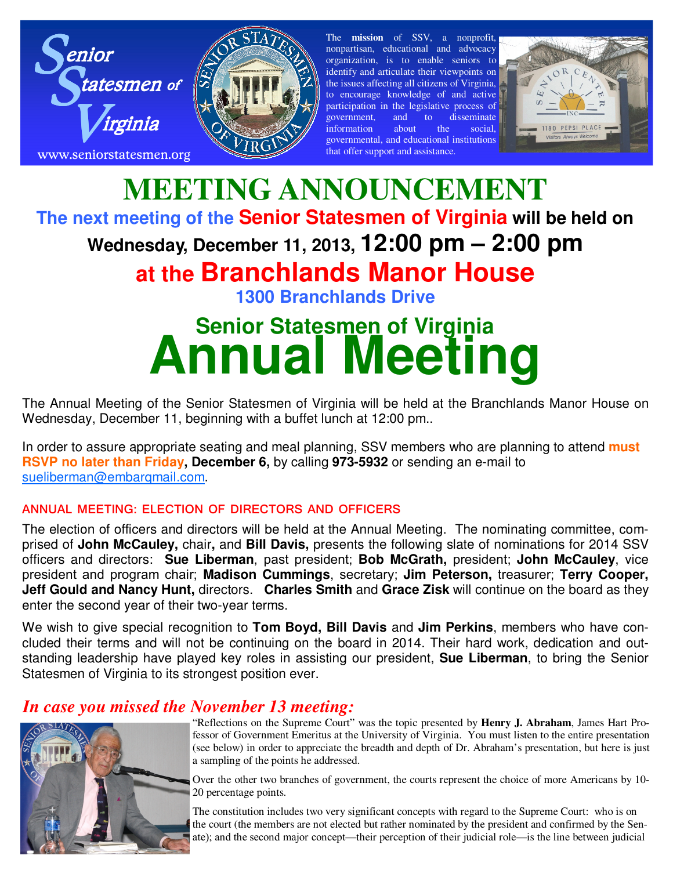



The **mission** of SSV, a nonprofit, nonpartisan, educational and advocacy organization, is to enable seniors to identify and articulate their viewpoints on the issues affecting all citizens of Virginia, to encourage knowledge of and active participation in the legislative process of government, and to disseminate information about the social, governmental, and educational institutions that offer support and assistance.



## **MEETING ANNOUNCEMENT The next meeting of the Senior Statesmen of Virginia will be held on Wednesday, December 11, 2013, 12:00 pm – 2:00 pm at the Branchlands Manor House 1300 Branchlands Drive**

# **Senior Statesmen of Virginia Annual Meeting**

The Annual Meeting of the Senior Statesmen of Virginia will be held at the Branchlands Manor House on Wednesday, December 11, beginning with a buffet lunch at 12:00 pm..

In order to assure appropriate seating and meal planning, SSV members who are planning to attend **must RSVP no later than Friday, December 6,** by calling **973-5932** or sending an e-mail to sueliberman@embarqmail.com.

#### **ANNUAL MEETING: ELECTION OF DIRECTORS AND OFFICERS**

The election of officers and directors will be held at the Annual Meeting. The nominating committee, comprised of **John McCauley,** chair**,** and **Bill Davis,** presents the following slate of nominations for 2014 SSV officers and directors: **Sue Liberman**, past president; **Bob McGrath,** president; **John McCauley**, vice president and program chair; **Madison Cummings**, secretary; **Jim Peterson,** treasurer; **Terry Cooper, Jeff Gould and Nancy Hunt,** directors. **Charles Smith** and **Grace Zisk** will continue on the board as they enter the second year of their two-year terms.

We wish to give special recognition to **Tom Boyd, Bill Davis** and **Jim Perkins**, members who have concluded their terms and will not be continuing on the board in 2014. Their hard work, dedication and outstanding leadership have played key roles in assisting our president, **Sue Liberman**, to bring the Senior Statesmen of Virginia to its strongest position ever.

### *In case you missed the November 13 meeting:*



"Reflections on the Supreme Court" was the topic presented by **Henry J. Abraham**, James Hart Professor of Government Emeritus at the University of Virginia. You must listen to the entire presentation (see below) in order to appreciate the breadth and depth of Dr. Abraham's presentation, but here is just a sampling of the points he addressed.

Over the other two branches of government, the courts represent the choice of more Americans by 10- 20 percentage points.

The constitution includes two very significant concepts with regard to the Supreme Court: who is on the court (the members are not elected but rather nominated by the president and confirmed by the Senate); and the second major concept—their perception of their judicial role—is the line between judicial